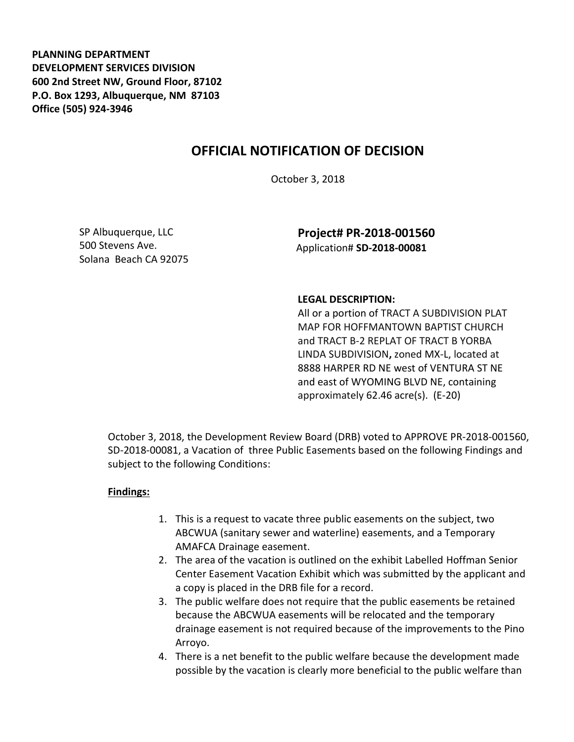**PLANNING DEPARTMENT DEVELOPMENT SERVICES DIVISION 600 2nd Street NW, Ground Floor, 87102 P.O. Box 1293, Albuquerque, NM 87103 Office (505) 924-3946** 

## **OFFICIAL NOTIFICATION OF DECISION**

October 3, 2018

SP Albuquerque, LLC 500 Stevens Ave. Solana Beach CA 92075

**Project# PR-2018-001560** Application# **SD-2018-00081**

## **LEGAL DESCRIPTION:**

All or a portion of TRACT A SUBDIVISION PLAT MAP FOR HOFFMANTOWN BAPTIST CHURCH and TRACT B-2 REPLAT OF TRACT B YORBA LINDA SUBDIVISION**,** zoned MX-L, located at 8888 HARPER RD NE west of VENTURA ST NE and east of WYOMING BLVD NE, containing approximately 62.46 acre(s). (E-20)

October 3, 2018, the Development Review Board (DRB) voted to APPROVE PR-2018-001560, SD-2018-00081, a Vacation of three Public Easements based on the following Findings and subject to the following Conditions:

## **Findings:**

- 1. This is a request to vacate three public easements on the subject, two ABCWUA (sanitary sewer and waterline) easements, and a Temporary AMAFCA Drainage easement.
- 2. The area of the vacation is outlined on the exhibit Labelled Hoffman Senior Center Easement Vacation Exhibit which was submitted by the applicant and a copy is placed in the DRB file for a record.
- 3. The public welfare does not require that the public easements be retained because the ABCWUA easements will be relocated and the temporary drainage easement is not required because of the improvements to the Pino Arroyo.
- 4. There is a net benefit to the public welfare because the development made possible by the vacation is clearly more beneficial to the public welfare than